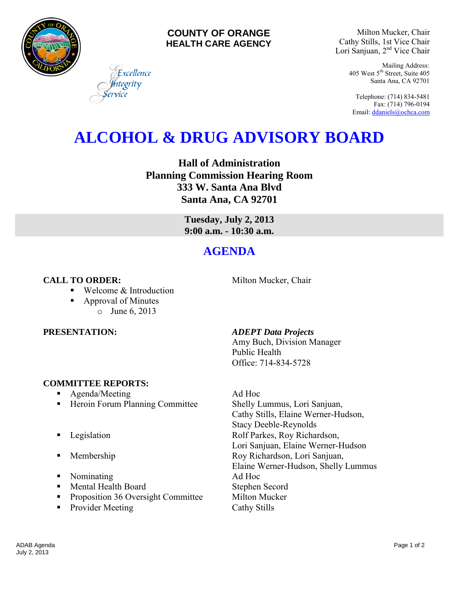

### **COUNTY OF ORANGE HEALTH CARE AGENCY**

Milton Mucker, Chair Cathy Stills, 1st Vice Chair Lori Sanjuan, 2nd Vice Chair

> Mailing Address: 405 West 5th Street, Suite 405 Santa Ana, CA 92701

Telephone: (714) 834-5481 Fax: (714) 796-0194 Email[: ddaniels@ochca.com](mailto:ddaniels@ochca.com)

# **ALCOHOL & DRUG ADVISORY BOARD**

**Hall of Administration Planning Commission Hearing Room 333 W. Santa Ana Blvd Santa Ana, CA 92701** 

> **Tuesday, July 2, 2013 9:00 a.m. - 10:30 a.m.**

## **AGENDA**

### **CALL TO ORDER:** Milton Mucker, Chair

■ Welcome & Introduction

Excellence tegrity

 Approval of Minutes o June 6, 2013

### **COMMITTEE REPORTS:**

- Agenda/Meeting Ad Hoc
- Heroin Forum Planning Committee Shelly Lummus, Lori Sanjuan,
- 
- 
- Nominating Ad Hoc
- Mental Health Board Stephen Secord
- **Proposition 36 Oversight Committee Milton Mucker**
- Provider Meeting Cathy Stills

### **PRESENTATION:** *ADEPT Data Projects*

Amy Buch, Division Manager Public Health Office: 714-834-5728

Cathy Stills, Elaine Werner-Hudson, Stacy Deeble-Reynolds **Example 3** Legislation **Rolf Parkes, Roy Richardson,** Lori Sanjuan, Elaine Werner-Hudson **Membership Roy Richardson, Lori Sanjuan,** Elaine Werner-Hudson, Shelly Lummus